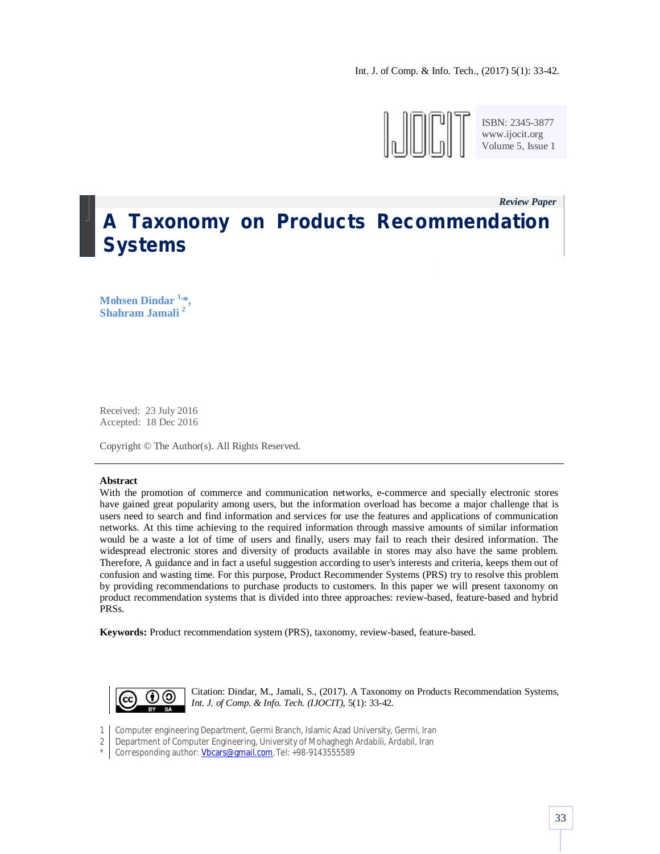

ISBN: 2345-3877 www.ijocit.org Volume 5, Issue 1

*Review Paper \_*

# **A Taxonomy on Products Recommendation Systems**

**Mohsen Dindar 1,\*, Shahram Jamali <sup>2</sup>**

Received: 23 July 2016 Accepted: 18 Dec 2016

Copyright © The Author(s). All Rights Reserved.

#### **Abstract**

With the promotion of commerce and communication networks, e-commerce and specially electronic stores have gained great popularity among users, but the information overload has become a major challenge that is users need to search and find information and services for use the features and applications of communication networks. At this time achieving to the required information through massive amounts of similar information would be a waste a lot of time of users and finally, users may fail to reach their desired information. The widespread electronic stores and diversity of products available in stores may also have the same problem. Therefore, A guidance and in fact a useful suggestion according to user's interests and criteria, keeps them out of confusion and wasting time. For this purpose, Product Recommender Systems (PRS) try to resolve this problem by providing recommendations to purchase products to customers. In this paper we will present taxonomy on product recommendation systems that is divided into three approaches: review-based, feature-based and hybrid PRSs.

**Keywords:** Product recommendation system (PRS), taxonomy, review-based, feature-based.



Citation: Dindar, M., Jamali, S., (2017). A Taxonomy on Products Recommendation Systems, *Int. J. of Comp. & Info. Tech. (IJOCIT)*, 5(1): 33-42.

- 1 Computer engineering Department, Germi Branch, Islamic Azad University, Germi, Iran
- 2 Department of Computer Engineering, University of Mohaghegh Ardabili, Ardabil, Iran
- \* Corresponding author: Vbcars@gmail.com, Tel: +98-9143555589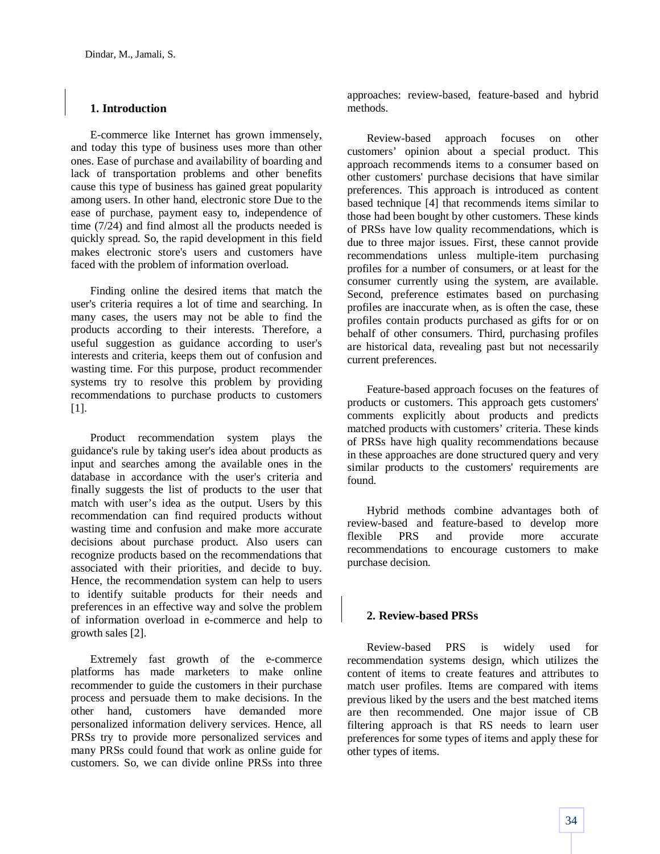## **1. Introduction**

E-commerce like Internet has grown immensely, and today this type of business uses more than other ones. Ease of purchase and availability of boarding and lack of transportation problems and other benefits cause this type of business has gained great popularity among users. In other hand, electronic store Due to the ease of purchase, payment easy to, independence of time (7/24) and find almost all the products needed is quickly spread. So, the rapid development in this field makes electronic store's users and customers have faced with the problem of information overload.

Finding online the desired items that match the user's criteria requires a lot of time and searching. In many cases, the users may not be able to find the products according to their interests. Therefore, a useful suggestion as guidance according to user's interests and criteria, keeps them out of confusion and wasting time. For this purpose, product recommender systems try to resolve this problem by providing recommendations to purchase products to customers [1].

Product recommendation system plays the guidance's rule by taking user's idea about products as input and searches among the available ones in the database in accordance with the user's criteria and finally suggests the list of products to the user that match with user's idea as the output. Users by this recommendation can find required products without wasting time and confusion and make more accurate decisions about purchase product. Also users can recognize products based on the recommendations that associated with their priorities, and decide to buy. Hence, the recommendation system can help to users to identify suitable products for their needs and preferences in an effective way and solve the problem of information overload in e-commerce and help to growth sales [2].

Extremely fast growth of the e-commerce platforms has made marketers to make online recommender to guide the customers in their purchase process and persuade them to make decisions. In the other hand, customers have demanded more personalized information delivery services. Hence, all PRSs try to provide more personalized services and many PRSs could found that work as online guide for customers. So, we can divide online PRSs into three approaches: review-based, feature-based and hybrid methods.

Review-based approach focuses on other customers' opinion about a special product. This approach recommends items to a consumer based on other customers' purchase decisions that have similar preferences. This approach is introduced as content based technique [4] that recommends items similar to those had been bought by other customers. These kinds of PRSs have low quality recommendations, which is due to three major issues. First, these cannot provide recommendations unless multiple-item purchasing profiles for a number of consumers, or at least for the consumer currently using the system, are available. Second, preference estimates based on purchasing profiles are inaccurate when, as is often the case, these profiles contain products purchased as gifts for or on behalf of other consumers. Third, purchasing profiles are historical data, revealing past but not necessarily current preferences.

Feature-based approach focuses on the features of products or customers. This approach gets customers' comments explicitly about products and predicts matched products with customers' criteria. These kinds of PRSs have high quality recommendations because in these approaches are done structured query and very similar products to the customers' requirements are found.

Hybrid methods combine advantages both of review-based and feature-based to develop more flexible PRS and provide more accurate recommendations to encourage customers to make purchase decision.

### **2. Review-based PRSs**

Review-based PRS is widely used for recommendation systems design, which utilizes the content of items to create features and attributes to match user profiles. Items are compared with items previous liked by the users and the best matched items are then recommended. One major issue of CB filtering approach is that RS needs to learn user preferences for some types of items and apply these for other types of items.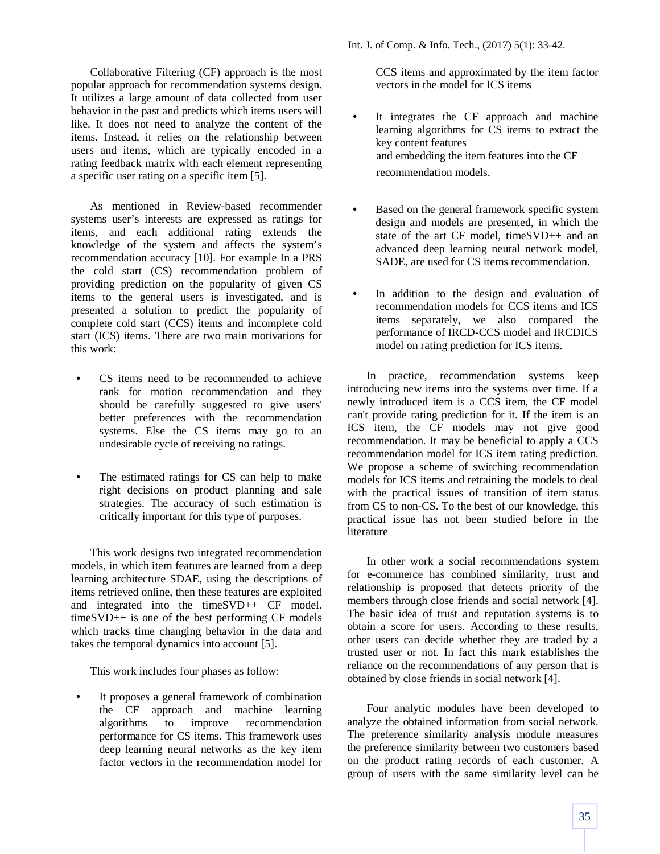Collaborative Filtering (CF) approach is the most popular approach for recommendation systems design. It utilizes a large amount of data collected from user behavior in the past and predicts which items users will like. It does not need to analyze the content of the items. Instead, it relies on the relationship between users and items, which are typically encoded in a rating feedback matrix with each element representing a specific user rating on a specific item [5].

As mentioned in Review-based recommender systems user's interests are expressed as ratings for items, and each additional rating extends the knowledge of the system and affects the system's recommendation accuracy [10]. For example In a PRS the cold start (CS) recommendation problem of providing prediction on the popularity of given CS items to the general users is investigated, and is presented a solution to predict the popularity of complete cold start (CCS) items and incomplete cold start (ICS) items. There are two main motivations for this work:

- *•* CS items need to be recommended to achieve rank for motion recommendation and they should be carefully suggested to give users' better preferences with the recommendation systems. Else the CS items may go to an undesirable cycle of receiving no ratings.
- The estimated ratings for CS can help to make right decisions on product planning and sale strategies. The accuracy of such estimation is critically important for this type of purposes.

This work designs two integrated recommendation models, in which item features are learned from a deep learning architecture SDAE, using the descriptions of items retrieved online, then these features are exploited and integrated into the timeSVD++ CF model. timeSVD++ is one of the best performing CF models which tracks time changing behavior in the data and takes the temporal dynamics into account [5].

This work includes four phases as follow:

It proposes a general framework of combination the CF approach and machine learning algorithms to improve recommendation performance for CS items. This framework uses deep learning neural networks as the key item factor vectors in the recommendation model for Int. J. of Comp. & Info. Tech., (2017) 5(1): 33-42.

CCS items and approximated by the item factor vectors in the model for ICS items

- It integrates the CF approach and machine learning algorithms for CS items to extract the key content features and embedding the item features into the CF recommendation models.
- Based on the general framework specific system design and models are presented, in which the state of the art CF model, timeSVD++ and an advanced deep learning neural network model, SADE, are used for CS items recommendation.
- In addition to the design and evaluation of recommendation models for CCS items and ICS items separately, we also compared the performance of IRCD-CCS model and IRCDICS model on rating prediction for ICS items.

In practice, recommendation systems keep introducing new items into the systems over time. If a newly introduced item is a CCS item, the CF model can't provide rating prediction for it. If the item is an ICS item, the CF models may not give good recommendation. It may be beneficial to apply a CCS recommendation model for ICS item rating prediction. We propose a scheme of switching recommendation models for ICS items and retraining the models to deal with the practical issues of transition of item status from CS to non-CS. To the best of our knowledge, this practical issue has not been studied before in the literature

In other work a social recommendations system for e-commerce has combined similarity, trust and relationship is proposed that detects priority of the members through close friends and social network [4]. The basic idea of trust and reputation systems is to obtain a score for users. According to these results, other users can decide whether they are traded by a trusted user or not. In fact this mark establishes the reliance on the recommendations of any person that is obtained by close friends in social network [4].

Four analytic modules have been developed to analyze the obtained information from social network. The preference similarity analysis module measures the preference similarity between two customers based on the product rating records of each customer. A group of users with the same similarity level can be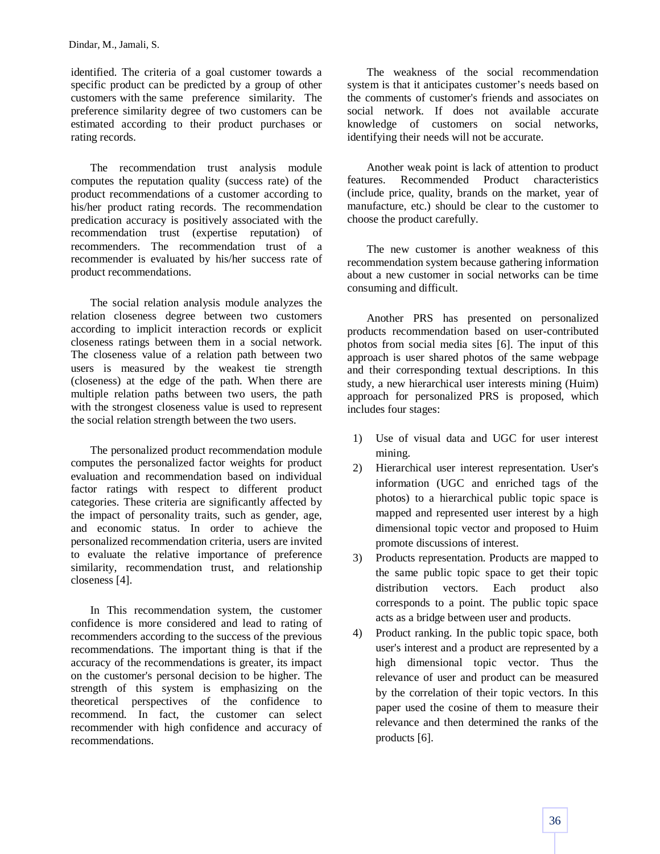identified. The criteria of a goal customer towards a specific product can be predicted by a group of other customers with the same preference similarity. The preference similarity degree of two customers can be estimated according to their product purchases or rating records.

The recommendation trust analysis module computes the reputation quality (success rate) of the product recommendations of a customer according to his/her product rating records. The recommendation predication accuracy is positively associated with the recommendation trust (expertise reputation) of recommenders. The recommendation trust of a recommender is evaluated by his/her success rate of product recommendations.

The social relation analysis module analyzes the relation closeness degree between two customers according to implicit interaction records or explicit closeness ratings between them in a social network. The closeness value of a relation path between two users is measured by the weakest tie strength (closeness) at the edge of the path. When there are multiple relation paths between two users, the path with the strongest closeness value is used to represent the social relation strength between the two users.

The personalized product recommendation module computes the personalized factor weights for product evaluation and recommendation based on individual factor ratings with respect to different product categories. These criteria are significantly affected by the impact of personality traits, such as gender, age, and economic status. In order to achieve the personalized recommendation criteria, users are invited to evaluate the relative importance of preference similarity, recommendation trust, and relationship closeness [4].

In This recommendation system, the customer confidence is more considered and lead to rating of recommenders according to the success of the previous recommendations. The important thing is that if the accuracy of the recommendations is greater, its impact on the customer's personal decision to be higher. The strength of this system is emphasizing on the theoretical perspectives of the confidence to recommend. In fact, the customer can select recommender with high confidence and accuracy of recommendations.

The weakness of the social recommendation system is that it anticipates customer's needs based on the comments of customer's friends and associates on social network. If does not available accurate knowledge of customers on social networks, identifying their needs will not be accurate.

Another weak point is lack of attention to product features. Recommended Product characteristics (include price, quality, brands on the market, year of manufacture, etc.) should be clear to the customer to choose the product carefully.

The new customer is another weakness of this recommendation system because gathering information about a new customer in social networks can be time consuming and difficult.

Another PRS has presented on personalized products recommendation based on user-contributed photos from social media sites [6]. The input of this approach is user shared photos of the same webpage and their corresponding textual descriptions. In this study, a new hierarchical user interests mining (Huim) approach for personalized PRS is proposed, which includes four stages:

- 1) Use of visual data and UGC for user interest mining.
- 2) Hierarchical user interest representation. User's information (UGC and enriched tags of the photos) to a hierarchical public topic space is mapped and represented user interest by a high dimensional topic vector and proposed to Huim promote discussions of interest.
- 3) Products representation. Products are mapped to the same public topic space to get their topic distribution vectors. Each product also corresponds to a point. The public topic space acts as a bridge between user and products.
- 4) Product ranking. In the public topic space, both user's interest and a product are represented by a high dimensional topic vector. Thus the relevance of user and product can be measured by the correlation of their topic vectors. In this paper used the cosine of them to measure their relevance and then determined the ranks of the products [6].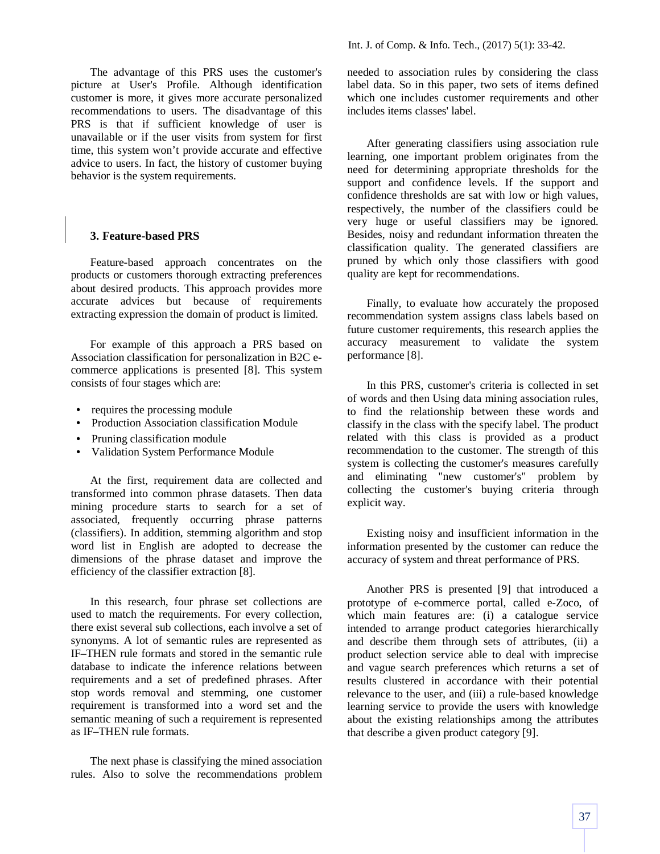The advantage of this PRS uses the customer's picture at User's Profile. Although identification customer is more, it gives more accurate personalized recommendations to users. The disadvantage of this PRS is that if sufficient knowledge of user is unavailable or if the user visits from system for first time, this system won't provide accurate and effective advice to users. In fact, the history of customer buying behavior is the system requirements.

#### **3. Feature-based PRS**

Feature-based approach concentrates on the products or customers thorough extracting preferences about desired products. This approach provides more accurate advices but because of requirements extracting expression the domain of product is limited.

For example of this approach a PRS based on Association classification for personalization in B2C ecommerce applications is presented [8]. This system consists of four stages which are:

- *•* requires the processing module
- *•* Production Association classification Module
- *•* Pruning classification module
- *•* Validation System Performance Module

At the first, requirement data are collected and transformed into common phrase datasets. Then data mining procedure starts to search for a set of associated, frequently occurring phrase patterns (classifiers). In addition, stemming algorithm and stop word list in English are adopted to decrease the dimensions of the phrase dataset and improve the efficiency of the classifier extraction [8].

In this research, four phrase set collections are used to match the requirements. For every collection, there exist several sub collections, each involve a set of synonyms. A lot of semantic rules are represented as IF–THEN rule formats and stored in the semantic rule database to indicate the inference relations between requirements and a set of predefined phrases. After stop words removal and stemming, one customer requirement is transformed into a word set and the semantic meaning of such a requirement is represented as IF–THEN rule formats.

The next phase is classifying the mined association rules. Also to solve the recommendations problem needed to association rules by considering the class label data. So in this paper, two sets of items defined which one includes customer requirements and other includes items classes' label.

After generating classifiers using association rule learning, one important problem originates from the need for determining appropriate thresholds for the support and confidence levels. If the support and confidence thresholds are sat with low or high values, respectively, the number of the classifiers could be very huge or useful classifiers may be ignored. Besides, noisy and redundant information threaten the classification quality. The generated classifiers are pruned by which only those classifiers with good quality are kept for recommendations.

Finally, to evaluate how accurately the proposed recommendation system assigns class labels based on future customer requirements, this research applies the accuracy measurement to validate the system performance [8].

In this PRS, customer's criteria is collected in set of words and then Using data mining association rules, to find the relationship between these words and classify in the class with the specify label. The product related with this class is provided as a product recommendation to the customer. The strength of this system is collecting the customer's measures carefully and eliminating "new customer's" problem by collecting the customer's buying criteria through explicit way.

Existing noisy and insufficient information in the information presented by the customer can reduce the accuracy of system and threat performance of PRS.

Another PRS is presented [9] that introduced a prototype of e-commerce portal, called e-Zoco, of which main features are: (i) a catalogue service intended to arrange product categories hierarchically and describe them through sets of attributes, (ii) a product selection service able to deal with imprecise and vague search preferences which returns a set of results clustered in accordance with their potential relevance to the user, and (iii) a rule-based knowledge learning service to provide the users with knowledge about the existing relationships among the attributes that describe a given product category [9].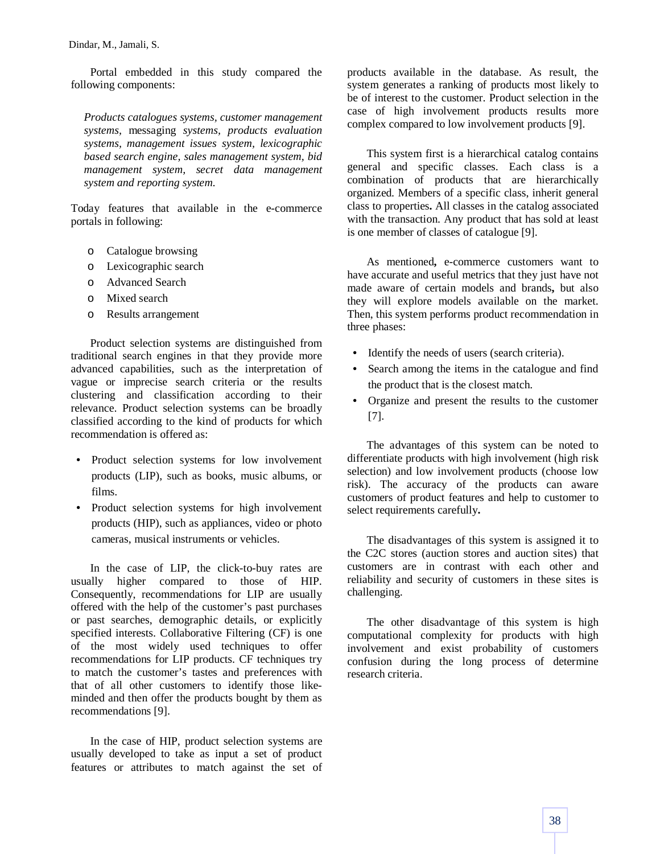Portal embedded in this study compared the following components:

*Products catalogues systems, customer management systems,* messaging *systems, products evaluation systems, management issues system, lexicographic based search engine, sales management system, bid management system, secret data management system and reporting system.*

Today features that available in the e-commerce portals in following:

- o Catalogue browsing
- o Lexicographic search
- o Advanced Search
- o Mixed search
- o Results arrangement

Product selection systems are distinguished from traditional search engines in that they provide more advanced capabilities, such as the interpretation of vague or imprecise search criteria or the results clustering and classification according to their relevance. Product selection systems can be broadly classified according to the kind of products for which recommendation is offered as:

- *•* Product selection systems for low involvement products (LIP), such as books, music albums, or films.
- *•* Product selection systems for high involvement products (HIP), such as appliances, video or photo cameras, musical instruments or vehicles.

In the case of LIP, the click-to-buy rates are usually higher compared to those of HIP. Consequently, recommendations for LIP are usually offered with the help of the customer's past purchases or past searches, demographic details, or explicitly specified interests. Collaborative Filtering (CF) is one of the most widely used techniques to offer recommendations for LIP products. CF techniques try to match the customer's tastes and preferences with that of all other customers to identify those likeminded and then offer the products bought by them as recommendations [9].

In the case of HIP, product selection systems are usually developed to take as input a set of product features or attributes to match against the set of

products available in the database. As result, the system generates a ranking of products most likely to be of interest to the customer. Product selection in the case of high involvement products results more complex compared to low involvement products [9].

This system first is a hierarchical catalog contains general and specific classes. Each class is a combination of products that are hierarchically organized. Members of a specific class, inherit general class to properties**.** All classes in the catalog associated with the transaction. Any product that has sold at least is one member of classes of catalogue [9].

As mentioned**,** e-commerce customers want to have accurate and useful metrics that they just have not made aware of certain models and brands**,** but also they will explore models available on the market. Then, this system performs product recommendation in three phases:

- Identify the needs of users (search criteria).
- Search among the items in the catalogue and find the product that is the closest match.
- *•* Organize and present the results to the customer [7].

The advantages of this system can be noted to differentiate products with high involvement (high risk selection) and low involvement products (choose low risk). The accuracy of the products can aware customers of product features and help to customer to select requirements carefully**.**

The disadvantages of this system is assigned it to the C2C stores (auction stores and auction sites) that customers are in contrast with each other and reliability and security of customers in these sites is challenging.

The other disadvantage of this system is high computational complexity for products with high involvement and exist probability of customers confusion during the long process of determine research criteria.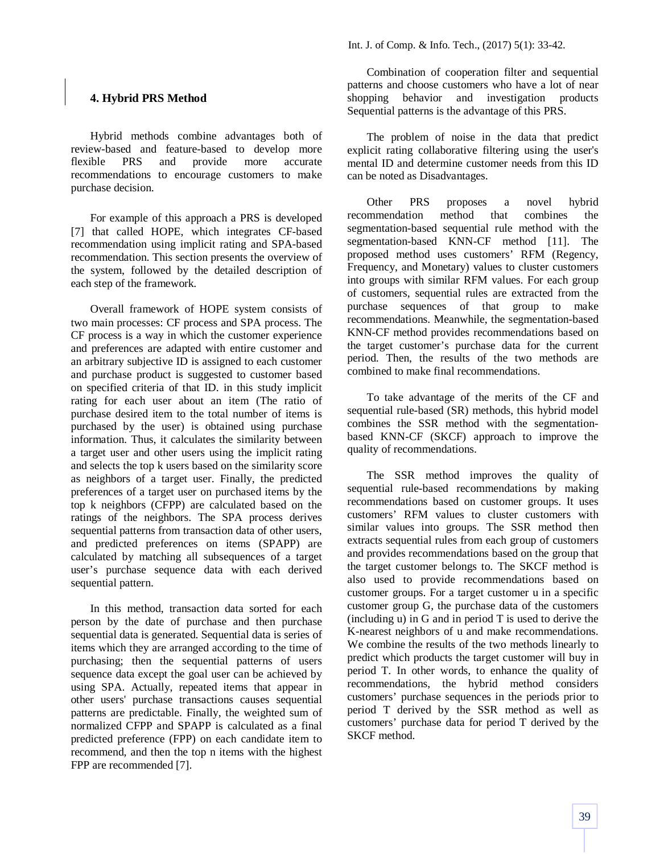## **4. Hybrid PRS Method**

Hybrid methods combine advantages both of review-based and feature-based to develop more flexible PRS and provide more accurate recommendations to encourage customers to make purchase decision.

For example of this approach a PRS is developed [7] that called HOPE, which integrates CF-based recommendation using implicit rating and SPA-based recommendation. This section presents the overview of the system, followed by the detailed description of each step of the framework.

Overall framework of HOPE system consists of two main processes: CF process and SPA process. The CF process is a way in which the customer experience and preferences are adapted with entire customer and an arbitrary subjective ID is assigned to each customer and purchase product is suggested to customer based on specified criteria of that ID. in this study implicit rating for each user about an item (The ratio of purchase desired item to the total number of items is purchased by the user) is obtained using purchase information. Thus, it calculates the similarity between a target user and other users using the implicit rating and selects the top k users based on the similarity score as neighbors of a target user. Finally, the predicted preferences of a target user on purchased items by the top k neighbors (CFPP) are calculated based on the ratings of the neighbors. The SPA process derives sequential patterns from transaction data of other users, and predicted preferences on items (SPAPP) are calculated by matching all subsequences of a target user's purchase sequence data with each derived sequential pattern.

In this method, transaction data sorted for each person by the date of purchase and then purchase sequential data is generated. Sequential data is series of items which they are arranged according to the time of purchasing; then the sequential patterns of users sequence data except the goal user can be achieved by using SPA. Actually, repeated items that appear in other users' purchase transactions causes sequential patterns are predictable. Finally, the weighted sum of normalized CFPP and SPAPP is calculated as a final predicted preference (FPP) on each candidate item to recommend, and then the top n items with the highest FPP are recommended [7].

Combination of cooperation filter and sequential patterns and choose customers who have a lot of near shopping behavior and investigation products Sequential patterns is the advantage of this PRS.

The problem of noise in the data that predict explicit rating collaborative filtering using the user's mental ID and determine customer needs from this ID can be noted as Disadvantages.

Other PRS proposes a novel hybrid recommendation method that combines the segmentation-based sequential rule method with the segmentation-based KNN-CF method [11]. The proposed method uses customers' RFM (Regency, Frequency, and Monetary) values to cluster customers into groups with similar RFM values. For each group of customers, sequential rules are extracted from the purchase sequences of that group to make recommendations. Meanwhile, the segmentation-based KNN-CF method provides recommendations based on the target customer's purchase data for the current period. Then, the results of the two methods are combined to make final recommendations.

To take advantage of the merits of the CF and sequential rule-based (SR) methods, this hybrid model combines the SSR method with the segmentationbased KNN-CF (SKCF) approach to improve the quality of recommendations.

The SSR method improves the quality of sequential rule-based recommendations by making recommendations based on customer groups. It uses customers' RFM values to cluster customers with similar values into groups. The SSR method then extracts sequential rules from each group of customers and provides recommendations based on the group that the target customer belongs to. The SKCF method is also used to provide recommendations based on customer groups. For a target customer u in a specific customer group G, the purchase data of the customers (including u) in G and in period T is used to derive the K-nearest neighbors of u and make recommendations. We combine the results of the two methods linearly to predict which products the target customer will buy in period T. In other words, to enhance the quality of recommendations, the hybrid method considers customers' purchase sequences in the periods prior to period T derived by the SSR method as well as customers' purchase data for period T derived by the SKCF method.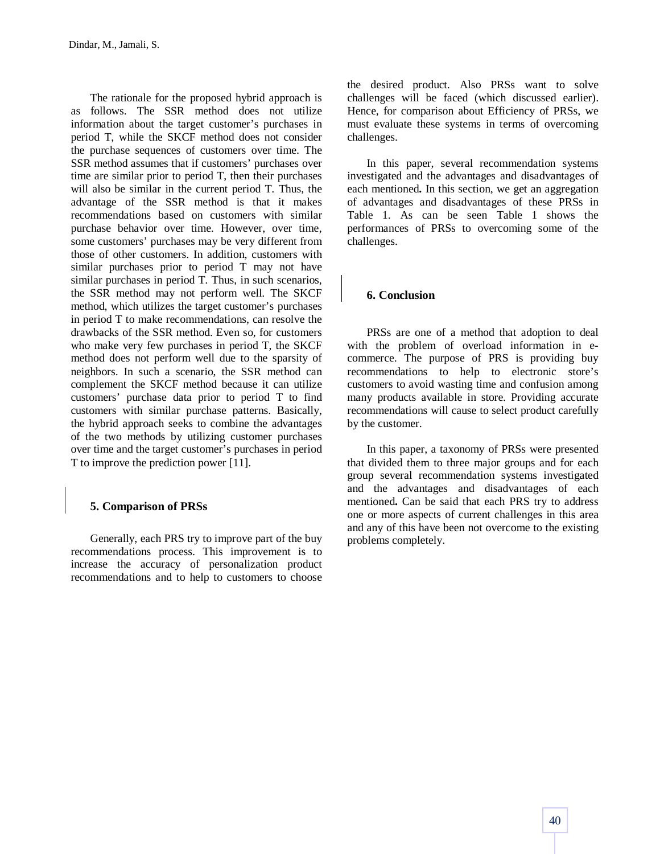The rationale for the proposed hybrid approach is as follows. The SSR method does not utilize information about the target customer's purchases in period T, while the SKCF method does not consider the purchase sequences of customers over time. The SSR method assumes that if customers' purchases over time are similar prior to period T, then their purchases will also be similar in the current period T. Thus, the advantage of the SSR method is that it makes recommendations based on customers with similar purchase behavior over time. However, over time, some customers' purchases may be very different from those of other customers. In addition, customers with similar purchases prior to period T may not have similar purchases in period T. Thus, in such scenarios, the SSR method may not perform well. The SKCF method, which utilizes the target customer's purchases in period T to make recommendations, can resolve the drawbacks of the SSR method. Even so, for customers who make very few purchases in period T, the SKCF method does not perform well due to the sparsity of neighbors. In such a scenario, the SSR method can complement the SKCF method because it can utilize customers' purchase data prior to period T to find customers with similar purchase patterns. Basically, the hybrid approach seeks to combine the advantages of the two methods by utilizing customer purchases over time and the target customer's purchases in period T to improve the prediction power [11].

# **5. Comparison of PRSs**

Generally, each PRS try to improve part of the buy recommendations process. This improvement is to increase the accuracy of personalization product recommendations and to help to customers to choose

the desired product. Also PRSs want to solve challenges will be faced (which discussed earlier). Hence, for comparison about Efficiency of PRSs, we must evaluate these systems in terms of overcoming challenges.

In this paper, several recommendation systems investigated and the advantages and disadvantages of each mentioned**.** In this section, we get an aggregation of advantages and disadvantages of these PRSs in Table 1. As can be seen Table 1 shows the performances of PRSs to overcoming some of the challenges.

# **6. Conclusion**

PRSs are one of a method that adoption to deal with the problem of overload information in ecommerce. The purpose of PRS is providing buy recommendations to help to electronic store's customers to avoid wasting time and confusion among many products available in store. Providing accurate recommendations will cause to select product carefully by the customer.

In this paper, a taxonomy of PRSs were presented that divided them to three major groups and for each group several recommendation systems investigated and the advantages and disadvantages of each mentioned**.** Can be said that each PRS try to address one or more aspects of current challenges in this area and any of this have been not overcome to the existing problems completely.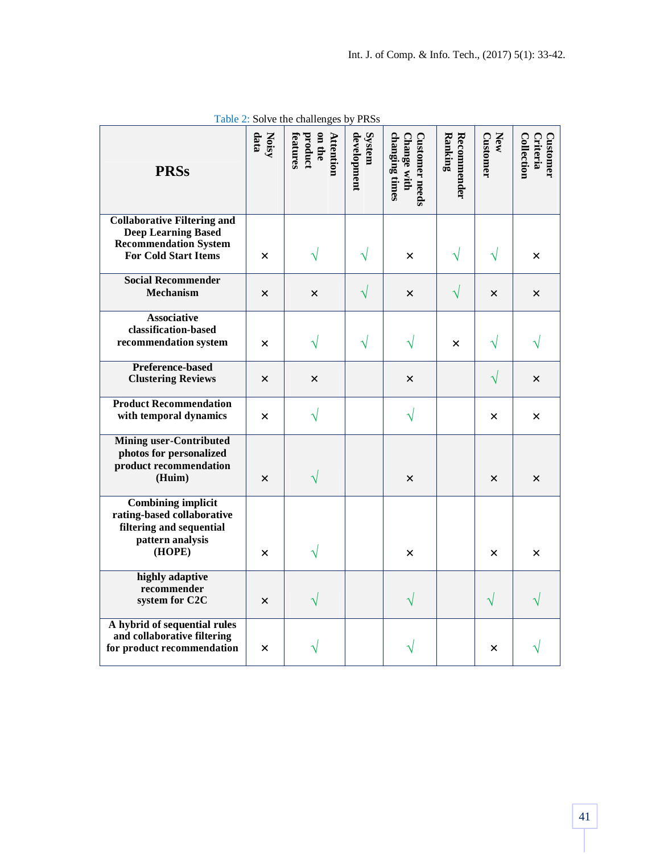| <b>PRSs</b>                                                                                                                     | Noisy<br>data | on the<br><b>Attention</b><br>product<br>features | development<br>System | changing times<br>Change with<br><b>Customer needs</b> | Ranking<br><b>Recommender</b> | New<br><b>Customer</b> | Collection<br>Criteria<br>Customer |
|---------------------------------------------------------------------------------------------------------------------------------|---------------|---------------------------------------------------|-----------------------|--------------------------------------------------------|-------------------------------|------------------------|------------------------------------|
| <b>Collaborative Filtering and</b><br><b>Deep Learning Based</b><br><b>Recommendation System</b><br><b>For Cold Start Items</b> | $\times$      | V                                                 | $\sqrt{}$             | $\times$                                               |                               |                        | X                                  |
| <b>Social Recommender</b><br>Mechanism                                                                                          | X             | $\times$                                          |                       | $\times$                                               |                               | $\times$               | $\times$                           |
| <b>Associative</b><br>classification-based<br>recommendation system                                                             | $\times$      | V                                                 | V                     | $\sqrt{}$                                              | $\times$                      |                        |                                    |
| <b>Preference-based</b><br><b>Clustering Reviews</b>                                                                            | $\times$      | $\times$                                          |                       | $\times$                                               |                               | V                      | $\times$                           |
| <b>Product Recommendation</b><br>with temporal dynamics                                                                         | X             | $\sqrt{}$                                         |                       | $\sqrt{}$                                              |                               | ×                      | X                                  |
| <b>Mining user-Contributed</b><br>photos for personalized<br>product recommendation<br>(Huim)                                   | X             | $\sqrt{}$                                         |                       | $\times$                                               |                               | $\times$               | $\times$                           |
| <b>Combining implicit</b><br>rating-based collaborative<br>filtering and sequential<br>pattern analysis<br>(HOPE)               | $\times$      | V                                                 |                       | $\times$                                               |                               | ×                      | ×                                  |
| highly adaptive<br>recommender<br>system for C2C                                                                                | $\times$      |                                                   |                       |                                                        |                               |                        |                                    |
| A hybrid of sequential rules<br>and collaborative filtering<br>for product recommendation                                       | ×             |                                                   |                       |                                                        |                               | X                      |                                    |

Table 2: Solve the challenges by PRSs